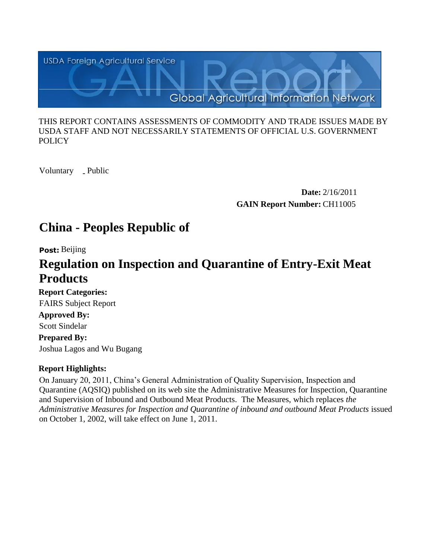

#### THIS REPORT CONTAINS ASSESSMENTS OF COMMODITY AND TRADE ISSUES MADE BY USDA STAFF AND NOT NECESSARILY STATEMENTS OF OFFICIAL U.S. GOVERNMENT **POLICY**

Voluntary \_ Public

**Date:** 2/16/2011 **GAIN Report Number:** CH11005

# **China - Peoples Republic of**

**Post:** Beijing

# **Regulation on Inspection and Quarantine of Entry-Exit Meat Products**

**Report Categories:**  FAIRS Subject Report **Approved By:** 

Scott Sindelar

**Prepared By:**  Joshua Lagos and Wu Bugang

# **Report Highlights:**

On January 20, 2011, China's General Administration of Quality Supervision, Inspection and Quarantine (AQSIQ) published on its web site the Administrative Measures for Inspection, Quarantine and Supervision of Inbound and Outbound Meat Products. The Measures, which replaces *the Administrative Measures for Inspection and Quarantine of inbound and outbound Meat Products* issued on October 1, 2002, will take effect on June 1, 2011.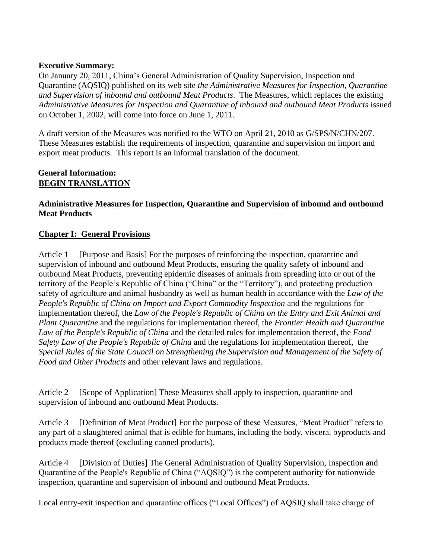#### **Executive Summary:**

On January 20, 2011, China's General Administration of Quality Supervision, Inspection and Quarantine (AQSIQ) published on its web site *the Administrative Measures for Inspection, Quarantine and Supervision of inbound and outbound Meat Products*. The Measures, which replaces the existing *Administrative Measures for Inspection and Quarantine of inbound and outbound Meat Products* issued on October 1, 2002, will come into force on June 1, 2011.

A draft version of the Measures was notified to the WTO on April 21, 2010 as G/SPS/N/CHN/207. These Measures establish the requirements of inspection, quarantine and supervision on import and export meat products. This report is an informal translation of the document.

#### **General Information: BEGIN TRANSLATION**

### **Administrative Measures for Inspection, Quarantine and Supervision of inbound and outbound Meat Products**

### **Chapter I: General Provisions**

Article 1 [Purpose and Basis] For the purposes of reinforcing the inspection, quarantine and supervision of inbound and outbound Meat Products, ensuring the quality safety of inbound and outbound Meat Products, preventing epidemic diseases of animals from spreading into or out of the territory of the People's Republic of China ("China" or the "Territory"), and protecting production safety of agriculture and animal husbandry as well as human health in accordance with the *Law of the People's Republic of China on Import and Export Commodity Inspection* and the regulations for implementation thereof, the *Law of the People's Republic of China on the Entry and Exit Animal and Plant Quarantine* and the regulations for implementation thereof, the *Frontier Health and Quarantine Law of the People's Republic of China* and the detailed rules for implementation thereof, the *Food Safety Law of the People's Republic of China* and the regulations for implementation thereof, the *Special Rules of the State Council on Strengthening the Supervision and Management of the Safety of Food and Other Products* and other relevant laws and regulations.

Article 2 [Scope of Application] These Measures shall apply to inspection, quarantine and supervision of inbound and outbound Meat Products.

Article 3 [Definition of Meat Product] For the purpose of these Measures, "Meat Product" refers to any part of a slaughtered animal that is edible for humans, including the body, viscera, byproducts and products made thereof (excluding canned products).

Article 4 [Division of Duties] The General Administration of Quality Supervision, Inspection and Quarantine of the People's Republic of China ("AQSIQ") is the competent authority for nationwide inspection, quarantine and supervision of inbound and outbound Meat Products.

Local entry-exit inspection and quarantine offices ("Local Offices") of AQSIQ shall take charge of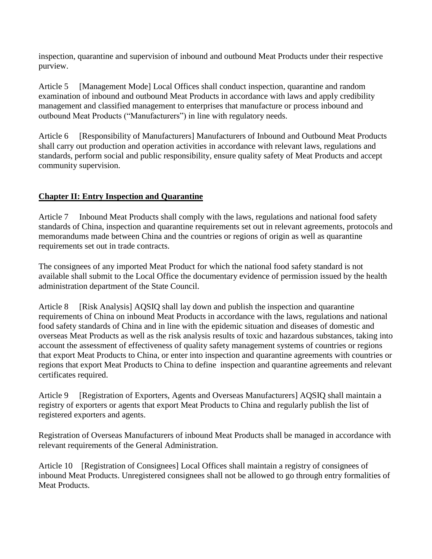inspection, quarantine and supervision of inbound and outbound Meat Products under their respective purview.

Article 5 examination of inbound and outbound Meat Products in accordance with laws and apply credibility [Management Mode] Local Offices shall conduct inspection, quarantine and random management and classified management to enterprises that manufacture or process inbound and outbound Meat Products ("Manufacturers") in line with regulatory needs.

Article 6 [Responsibility of Manufacturers] Manufacturers of Inbound and Outbound Meat Products shall carry out production and operation activities in accordance with relevant laws, regulations and standards, perform social and public responsibility, ensure quality safety of Meat Products and accept community supervision.

# **Chapter II: Entry Inspection and Quarantine**

Article 7 Inbound Meat Products shall comply with the laws, regulations and national food safety standards of China, inspection and quarantine requirements set out in relevant agreements, protocols and memorandums made between China and the countries or regions of origin as well as quarantine requirements set out in trade contracts.

The consignees of any imported Meat Product for which the national food safety standard is not available shall submit to the Local Office the documentary evidence of permission issued by the health administration department of the State Council.

Article 8 [Risk Analysis] AQSIQ shall lay down and publish the inspection and quarantine requirements of China on inbound Meat Products in accordance with the laws, regulations and national food safety standards of China and in line with the epidemic situation and diseases of domestic and overseas Meat Products as well as the risk analysis results of toxic and hazardous substances, taking into account the assessment of effectiveness of quality safety management systems of countries or regions that export Meat Products to China, or enter into inspection and quarantine agreements with countries or regions that export Meat Products to China to define inspection and quarantine agreements and relevant certificates required.

Article 9 [Registration of Exporters, Agents and Overseas Manufacturers] AQSIQ shall maintain a registry of exporters or agents that export Meat Products to China and regularly publish the list of registered exporters and agents.

Registration of Overseas Manufacturers of inbound Meat Products shall be managed in accordance with relevant requirements of the General Administration.

 Article 10 [Registration of Consignees] Local Offices shall maintain a registry of consignees of inbound Meat Products. Unregistered consignees shall not be allowed to go through entry formalities of Meat Products.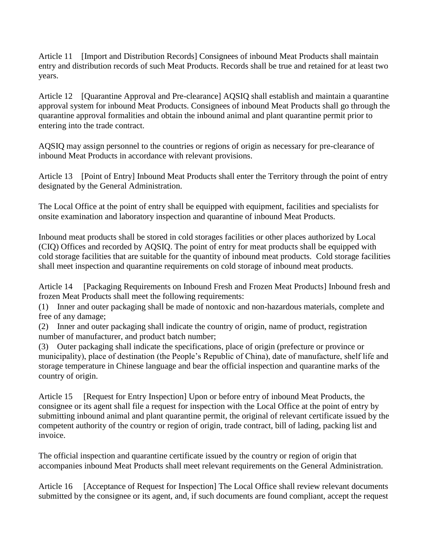Article 11 [Import and Distribution Records] Consignees of inbound Meat Products shall maintain entry and distribution records of such Meat Products. Records shall be true and retained for at least two years.

Article 12 [Quarantine Approval and Pre-clearance] AQSIQ shall establish and maintain a quarantine approval system for inbound Meat Products. Consignees of inbound Meat Products shall go through the quarantine approval formalities and obtain the inbound animal and plant quarantine permit prior to entering into the trade contract.

AQSIQ may assign personnel to the countries or regions of origin as necessary for pre-clearance of inbound Meat Products in accordance with relevant provisions.

Article 13 [Point of Entry] Inbound Meat Products shall enter the Territory through the point of entry designated by the General Administration.

The Local Office at the point of entry shall be equipped with equipment, facilities and specialists for onsite examination and laboratory inspection and quarantine of inbound Meat Products.

Inbound meat products shall be stored in cold storages facilities or other places authorized by Local (CIQ) Offices and recorded by AQSIQ. The point of entry for meat products shall be equipped with cold storage facilities that are suitable for the quantity of inbound meat products. Cold storage facilities shall meet inspection and quarantine requirements on cold storage of inbound meat products.

Article 14 [Packaging Requirements on Inbound Fresh and Frozen Meat Products] Inbound fresh and frozen Meat Products shall meet the following requirements:

 (1) Inner and outer packaging shall be made of nontoxic and non-hazardous materials, complete and free of any damage;

 (2) Inner and outer packaging shall indicate the country of origin, name of product, registration number of manufacturer, and product batch number;

 (3) Outer packaging shall indicate the specifications, place of origin (prefecture or province or municipality), place of destination (the People's Republic of China), date of manufacture, shelf life and storage temperature in Chinese language and bear the official inspection and quarantine marks of the country of origin.

Article 15 [Request for Entry Inspection] Upon or before entry of inbound Meat Products, the consignee or its agent shall file a request for inspection with the Local Office at the point of entry by submitting inbound animal and plant quarantine permit, the original of relevant certificate issued by the competent authority of the country or region of origin, trade contract, bill of lading, packing list and invoice.

The official inspection and quarantine certificate issued by the country or region of origin that accompanies inbound Meat Products shall meet relevant requirements on the General Administration.

Article 16 [Acceptance of Request for Inspection] The Local Office shall review relevant documents submitted by the consignee or its agent, and, if such documents are found compliant, accept the request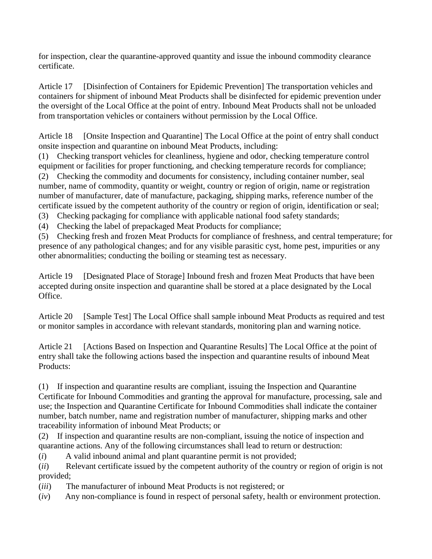for inspection, clear the quarantine-approved quantity and issue the inbound commodity clearance certificate.

Article 17 [Disinfection of Containers for Epidemic Prevention] The transportation vehicles and containers for shipment of inbound Meat Products shall be disinfected for epidemic prevention under the oversight of the Local Office at the point of entry. Inbound Meat Products shall not be unloaded from transportation vehicles or containers without permission by the Local Office.

Article 18 [Onsite Inspection and Quarantine] The Local Office at the point of entry shall conduct onsite inspection and quarantine on inbound Meat Products, including:

 (1) Checking transport vehicles for cleanliness, hygiene and odor, checking temperature control equipment or facilities for proper functioning, and checking temperature records for compliance;

 (2) Checking the commodity and documents for consistency, including container number, seal number, name of commodity, quantity or weight, country or region of origin, name or registration number of manufacturer, date of manufacture, packaging, shipping marks, reference number of the certificate issued by the competent authority of the country or region of origin, identification or seal;

(3) Checking packaging for compliance with applicable national food safety standards;

(4) Checking the label of prepackaged Meat Products for compliance;

 (5) Checking fresh and frozen Meat Products for compliance of freshness, and central temperature; for presence of any pathological changes; and for any visible parasitic cyst, home pest, impurities or any other abnormalities; conducting the boiling or steaming test as necessary.

Article 19 [Designated Place of Storage] Inbound fresh and frozen Meat Products that have been accepted during onsite inspection and quarantine shall be stored at a place designated by the Local Office.

Article 20 [Sample Test] The Local Office shall sample inbound Meat Products as required and test or monitor samples in accordance with relevant standards, monitoring plan and warning notice.

Article 21 [Actions Based on Inspection and Quarantine Results] The Local Office at the point of entry shall take the following actions based the inspection and quarantine results of inbound Meat Products:

 (1) If inspection and quarantine results are compliant, issuing the Inspection and Quarantine Certificate for Inbound Commodities and granting the approval for manufacture, processing, sale and use; the Inspection and Quarantine Certificate for Inbound Commodities shall indicate the container number, batch number, name and registration number of manufacturer, shipping marks and other traceability information of inbound Meat Products; or

 (2) If inspection and quarantine results are non-compliant, issuing the notice of inspection and quarantine actions. Any of the following circumstances shall lead to return or destruction:

 $(i)$ A valid inbound animal and plant quarantine permit is not provided;

 $(ii)$ Relevant certificate issued by the competent authority of the country or region of origin is not provided;

 $(iii)$ The manufacturer of inbound Meat Products is not registered; or

(*iv*) Any non-compliance is found in respect of personal safety, health or environment protection.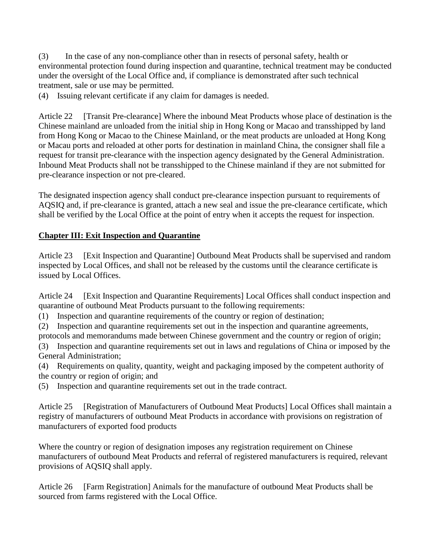(3) In the case of any non-compliance other than in resects of personal safety, health or environmental protection found during inspection and quarantine, technical treatment may be conducted under the oversight of the Local Office and, if compliance is demonstrated after such technical treatment, sale or use may be permitted.

(4) Issuing relevant certificate if any claim for damages is needed.

Article 22 [Transit Pre-clearance] Where the inbound Meat Products whose place of destination is the Chinese mainland are unloaded from the initial ship in Hong Kong or Macao and transshipped by land from Hong Kong or Macao to the Chinese Mainland, or the meat products are unloaded at Hong Kong or Macau ports and reloaded at other ports for destination in mainland China, the consigner shall file a request for transit pre-clearance with the inspection agency designated by the General Administration. Inbound Meat Products shall not be transshipped to the Chinese mainland if they are not submitted for pre-clearance inspection or not pre-cleared.

The designated inspection agency shall conduct pre-clearance inspection pursuant to requirements of AQSIQ and, if pre-clearance is granted, attach a new seal and issue the pre-clearance certificate, which shall be verified by the Local Office at the point of entry when it accepts the request for inspection.

# **Chapter III: Exit Inspection and Quarantine**

Article 23 [Exit Inspection and Quarantine] Outbound Meat Products shall be supervised and random inspected by Local Offices, and shall not be released by the customs until the clearance certificate is issued by Local Offices.

Article 24 [Exit Inspection and Quarantine Requirements] Local Offices shall conduct inspection and quarantine of outbound Meat Products pursuant to the following requirements:

(1) Inspection and quarantine requirements of the country or region of destination;

(2) Inspection and quarantine requirements set out in the inspection and quarantine agreements,

protocols and memorandums made between Chinese government and the country or region of origin;

 (3) Inspection and quarantine requirements set out in laws and regulations of China or imposed by the General Administration;

 (4) Requirements on quality, quantity, weight and packaging imposed by the competent authority of the country or region of origin; and

(5) Inspection and quarantine requirements set out in the trade contract.

Article 25 [Registration of Manufacturers of Outbound Meat Products] Local Offices shall maintain a registry of manufacturers of outbound Meat Products in accordance with provisions on registration of manufacturers of exported food products

Where the country or region of designation imposes any registration requirement on Chinese manufacturers of outbound Meat Products and referral of registered manufacturers is required, relevant provisions of AQSIQ shall apply.

Article 26 [Farm Registration] Animals for the manufacture of outbound Meat Products shall be sourced from farms registered with the Local Office.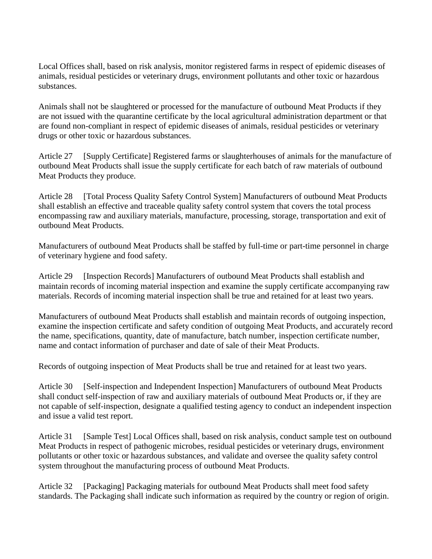Local Offices shall, based on risk analysis, monitor registered farms in respect of epidemic diseases of animals, residual pesticides or veterinary drugs, environment pollutants and other toxic or hazardous substances.

Animals shall not be slaughtered or processed for the manufacture of outbound Meat Products if they are not issued with the quarantine certificate by the local agricultural administration department or that are found non-compliant in respect of epidemic diseases of animals, residual pesticides or veterinary drugs or other toxic or hazardous substances.

Article 27 [Supply Certificate] Registered farms or slaughterhouses of animals for the manufacture of outbound Meat Products shall issue the supply certificate for each batch of raw materials of outbound Meat Products they produce.

Article 28 encompassing raw and auxiliary materials, manufacture, processing, storage, transportation and exit of [Total Process Quality Safety Control System] Manufacturers of outbound Meat Products shall establish an effective and traceable quality safety control system that covers the total process outbound Meat Products.

Manufacturers of outbound Meat Products shall be staffed by full-time or part-time personnel in charge of veterinary hygiene and food safety.

Article 29 [Inspection Records] Manufacturers of outbound Meat Products shall establish and maintain records of incoming material inspection and examine the supply certificate accompanying raw materials. Records of incoming material inspection shall be true and retained for at least two years.

Manufacturers of outbound Meat Products shall establish and maintain records of outgoing inspection, examine the inspection certificate and safety condition of outgoing Meat Products, and accurately record the name, specifications, quantity, date of manufacture, batch number, inspection certificate number, name and contact information of purchaser and date of sale of their Meat Products.

Records of outgoing inspection of Meat Products shall be true and retained for at least two years.

Article 30 shall conduct self-inspection of raw and auxiliary materials of outbound Meat Products or, if they are [Self-inspection and Independent Inspection] Manufacturers of outbound Meat Products not capable of self-inspection, designate a qualified testing agency to conduct an independent inspection and issue a valid test report.

Article 31 [Sample Test] Local Offices shall, based on risk analysis, conduct sample test on outbound Meat Products in respect of pathogenic microbes, residual pesticides or veterinary drugs, environment pollutants or other toxic or hazardous substances, and validate and oversee the quality safety control system throughout the manufacturing process of outbound Meat Products.

Article 32 [Packaging] Packaging materials for outbound Meat Products shall meet food safety standards. The Packaging shall indicate such information as required by the country or region of origin.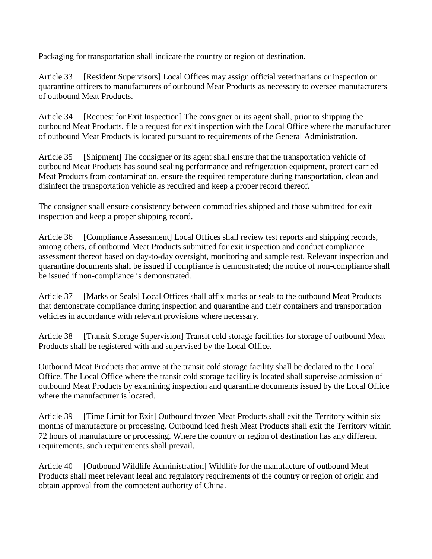Packaging for transportation shall indicate the country or region of destination.

Article 33 [Resident Supervisors] Local Offices may assign official veterinarians or inspection or quarantine officers to manufacturers of outbound Meat Products as necessary to oversee manufacturers of outbound Meat Products.

Article 34 [Request for Exit Inspection] The consigner or its agent shall, prior to shipping the outbound Meat Products, file a request for exit inspection with the Local Office where the manufacturer of outbound Meat Products is located pursuant to requirements of the General Administration.

Article 35 [Shipment] The consigner or its agent shall ensure that the transportation vehicle of outbound Meat Products has sound sealing performance and refrigeration equipment, protect carried Meat Products from contamination, ensure the required temperature during transportation, clean and disinfect the transportation vehicle as required and keep a proper record thereof.

The consigner shall ensure consistency between commodities shipped and those submitted for exit inspection and keep a proper shipping record.

Article 36 [Compliance Assessment] Local Offices shall review test reports and shipping records, among others, of outbound Meat Products submitted for exit inspection and conduct compliance assessment thereof based on day-to-day oversight, monitoring and sample test. Relevant inspection and quarantine documents shall be issued if compliance is demonstrated; the notice of non-compliance shall be issued if non-compliance is demonstrated.

Article 37 [Marks or Seals] Local Offices shall affix marks or seals to the outbound Meat Products that demonstrate compliance during inspection and quarantine and their containers and transportation vehicles in accordance with relevant provisions where necessary.

Article 38 [Transit Storage Supervision] Transit cold storage facilities for storage of outbound Meat Products shall be registered with and supervised by the Local Office.

Outbound Meat Products that arrive at the transit cold storage facility shall be declared to the Local Office. The Local Office where the transit cold storage facility is located shall supervise admission of outbound Meat Products by examining inspection and quarantine documents issued by the Local Office where the manufacturer is located.

Article 39 [Time Limit for Exit] Outbound frozen Meat Products shall exit the Territory within six months of manufacture or processing. Outbound iced fresh Meat Products shall exit the Territory within 72 hours of manufacture or processing. Where the country or region of destination has any different requirements, such requirements shall prevail.

Article 40 [Outbound Wildlife Administration] Wildlife for the manufacture of outbound Meat Products shall meet relevant legal and regulatory requirements of the country or region of origin and obtain approval from the competent authority of China.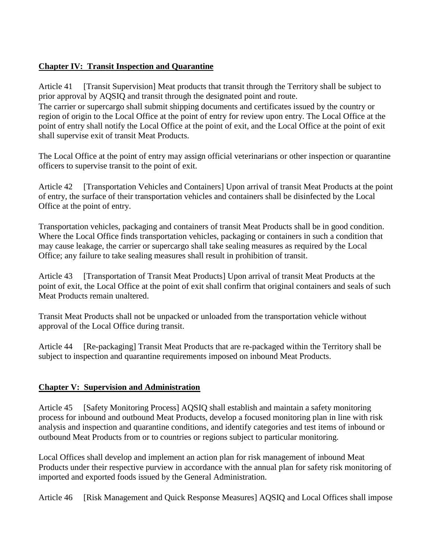# **Chapter IV: Transit Inspection and Quarantine**

 point of entry shall notify the Local Office at the point of exit, and the Local Office at the point of exit Article 41 [Transit Supervision] Meat products that transit through the Territory shall be subject to prior approval by AQSIQ and transit through the designated point and route. The carrier or supercargo shall submit shipping documents and certificates issued by the country or region of origin to the Local Office at the point of entry for review upon entry. The Local Office at the shall supervise exit of transit Meat Products.

The Local Office at the point of entry may assign official veterinarians or other inspection or quarantine officers to supervise transit to the point of exit.

Article 42 [Transportation Vehicles and Containers] Upon arrival of transit Meat Products at the point of entry, the surface of their transportation vehicles and containers shall be disinfected by the Local Office at the point of entry.

Transportation vehicles, packaging and containers of transit Meat Products shall be in good condition. Where the Local Office finds transportation vehicles, packaging or containers in such a condition that may cause leakage, the carrier or supercargo shall take sealing measures as required by the Local Office; any failure to take sealing measures shall result in prohibition of transit.

Article 43 [Transportation of Transit Meat Products] Upon arrival of transit Meat Products at the point of exit, the Local Office at the point of exit shall confirm that original containers and seals of such Meat Products remain unaltered.

Transit Meat Products shall not be unpacked or unloaded from the transportation vehicle without approval of the Local Office during transit.

Article 44 [Re-packaging] Transit Meat Products that are re-packaged within the Territory shall be subject to inspection and quarantine requirements imposed on inbound Meat Products.

# **Chapter V: Supervision and Administration**

Article 45 [Safety Monitoring Process] AQSIQ shall establish and maintain a safety monitoring process for inbound and outbound Meat Products, develop a focused monitoring plan in line with risk analysis and inspection and quarantine conditions, and identify categories and test items of inbound or outbound Meat Products from or to countries or regions subject to particular monitoring.

Local Offices shall develop and implement an action plan for risk management of inbound Meat Products under their respective purview in accordance with the annual plan for safety risk monitoring of imported and exported foods issued by the General Administration.

Article 46 [Risk Management and Quick Response Measures] AQSIQ and Local Offices shall impose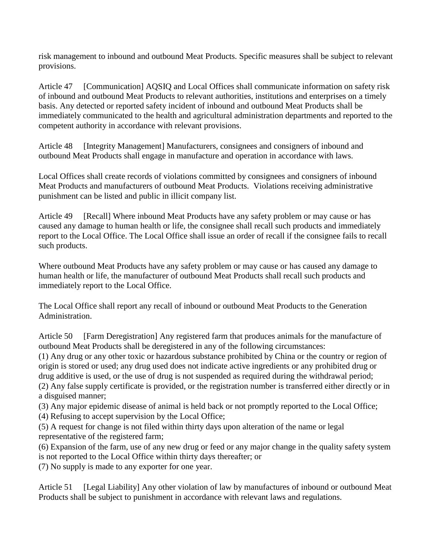risk management to inbound and outbound Meat Products. Specific measures shall be subject to relevant provisions.

Article 47 [Communication] AQSIQ and Local Offices shall communicate information on safety risk of inbound and outbound Meat Products to relevant authorities, institutions and enterprises on a timely basis. Any detected or reported safety incident of inbound and outbound Meat Products shall be immediately communicated to the health and agricultural administration departments and reported to the competent authority in accordance with relevant provisions.

Article 48 [Integrity Management] Manufacturers, consignees and consigners of inbound and outbound Meat Products shall engage in manufacture and operation in accordance with laws.

 punishment can be listed and public in illicit company list. Local Offices shall create records of violations committed by consignees and consigners of inbound Meat Products and manufacturers of outbound Meat Products. Violations receiving administrative

Article 49 [Recall] Where inbound Meat Products have any safety problem or may cause or has caused any damage to human health or life, the consignee shall recall such products and immediately report to the Local Office. The Local Office shall issue an order of recall if the consignee fails to recall such products.

Where outbound Meat Products have any safety problem or may cause or has caused any damage to human health or life, the manufacturer of outbound Meat Products shall recall such products and immediately report to the Local Office.

The Local Office shall report any recall of inbound or outbound Meat Products to the Generation Administration.

Article 50 outbound Meat Products shall be deregistered in any of the following circumstances: [Farm Deregistration] Any registered farm that produces animals for the manufacture of

(1) Any drug or any other toxic or hazardous substance prohibited by China or the country or region of origin is stored or used; any drug used does not indicate active ingredients or any prohibited drug or drug additive is used, or the use of drug is not suspended as required during the withdrawal period;

(2) Any false supply certificate is provided, or the registration number is transferred either directly or in a disguised manner;

(3) Any major epidemic disease of animal is held back or not promptly reported to the Local Office;

(4) Refusing to accept supervision by the Local Office;

 (5) A request for change is not filed within thirty days upon alteration of the name or legal representative of the registered farm;

(6) Expansion of the farm, use of any new drug or feed or any major change in the quality safety system is not reported to the Local Office within thirty days thereafter; or

(7) No supply is made to any exporter for one year.

Article 51 [Legal Liability] Any other violation of law by manufactures of inbound or outbound Meat Products shall be subject to punishment in accordance with relevant laws and regulations.